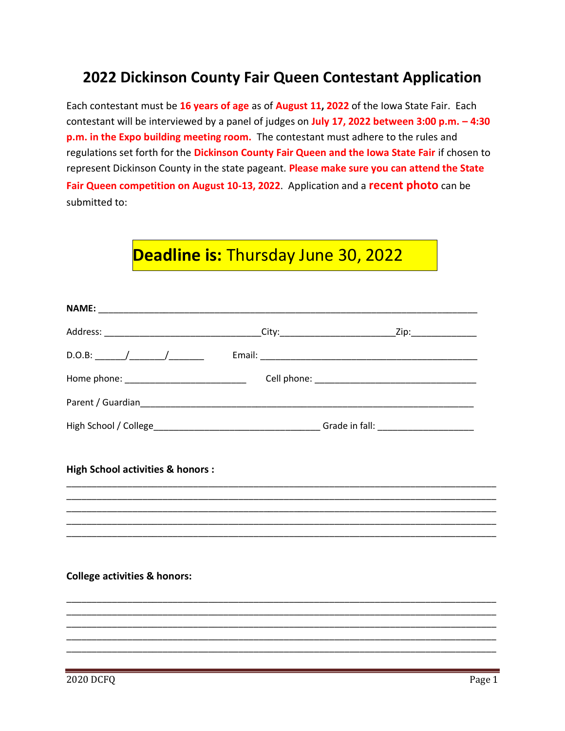## **2022 Dickinson County Fair Queen Contestant Application**

Each contestant must be **16 years of age** as of **August 11, 2022** of the Iowa State Fair. Each contestant will be interviewed by a panel of judges on **July 17, 2022 between 3:00 p.m. – 4:30 p.m. in the Expo building meeting room.** The contestant must adhere to the rules and regulations set forth for the **Dickinson County Fair Queen and the Iowa State Fair** if chosen to represent Dickinson County in the state pageant. **Please make sure you can attend the State Fair Queen competition on August 10-13, 2022**. Application and a **recent photo** can be submitted to:

## **Deadline is:** Thursday June 30, 2022

| Home phone: ______________________________  |                                                                                                                      |
|---------------------------------------------|----------------------------------------------------------------------------------------------------------------------|
|                                             |                                                                                                                      |
|                                             |                                                                                                                      |
| <b>High School activities &amp; honors:</b> |                                                                                                                      |
|                                             |                                                                                                                      |
|                                             | <u> 2000 - 2000 - 2000 - 2000 - 2000 - 2000 - 2000 - 2000 - 2000 - 2000 - 2000 - 2000 - 2000 - 2000 - 2000 - 200</u> |
|                                             |                                                                                                                      |
|                                             |                                                                                                                      |
|                                             |                                                                                                                      |
|                                             | ,我们也不能在这里的,我们也不能在这里的时候,我们也不能在这里的时候,我们也不能会不能在这里的时候,我们也不能会不能会不能会不能会不能会不能会不能会不能会不能会                                     |
|                                             |                                                                                                                      |
|                                             | ,我们也不能在这里的,我们也不能在这里的,我们也不能在这里的,我们也不能不能在这里的。""我们,我们也不能不能不能不能不能不能不能不能不能不能不能不能不能不能不                                     |
|                                             |                                                                                                                      |
|                                             |                                                                                                                      |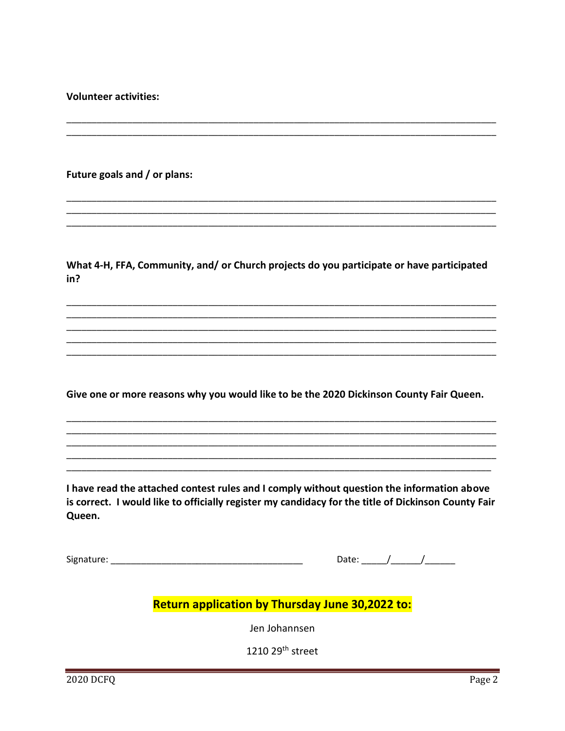**Volunteer activities:** 

Future goals and / or plans:

What 4-H, FFA, Community, and/ or Church projects do you participate or have participated in?

Give one or more reasons why you would like to be the 2020 Dickinson County Fair Queen.

I have read the attached contest rules and I comply without question the information above is correct. I would like to officially register my candidacy for the title of Dickinson County Fair Queen.

Signature: Signature:

## Return application by Thursday June 30,2022 to:

Jen Johannsen

1210 29<sup>th</sup> street